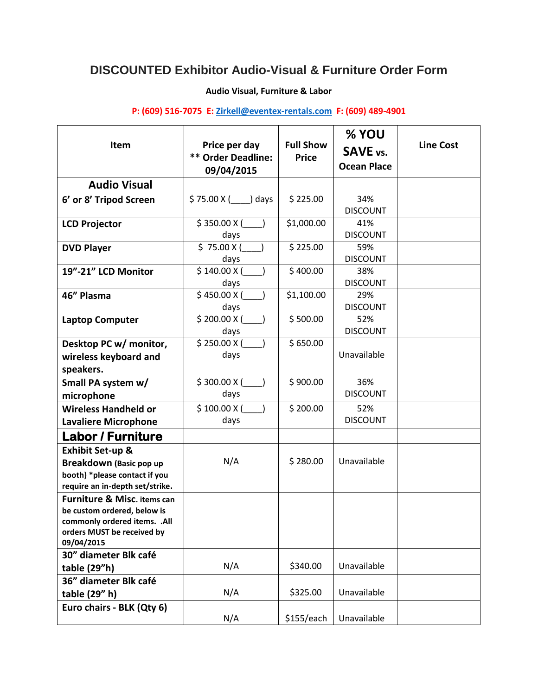## **DISCOUNTED Exhibitor Audio-Visual & Furniture Order Form**

## **Audio Visual, Furniture & Labor**

#### **Item Price per day \*\* Order Deadline: 09/04/2015 Full Show Price % YOU SAVE vs. Ocean Place Line Cost Audio Visual 6' or 8' Tripod Screen**  $\frac{1}{2}$  \$ 75.00 X (\epsilon 2) days  $\frac{1}{2}$  \$ 225.00  $\frac{1}{2}$  34% DISCOUNT **LCD Projector**  $\vert$  \$ 350.00 X ( days  $$1,000.00$  41% DISCOUNT **DVD Player**  $\begin{bmatrix} 5 & 75.00 \times \end{bmatrix}$ days  $$225.00$  59% DISCOUNT **19"-21" LCD Monitor**  $\vert$  \$ 140.00 X ( days \$ 400.00 38% DISCOUNT **46<sup>"</sup> Plasma**  $\qquad \qquad$  \$ 450.00 X ( days \$1,100.00 29% DISCOUNT **Laptop Computer**  $\vert$  \$ 200.00 X ( days \$ 500.00 52% DISCOUNT **Desktop PC w/ monitor, wireless keyboard and speakers.**   $$ 250.00 X ($ days \$ 650.00 Unavailable **Small PA system w/ microphone**  $$ 300.00 X()$ days \$ 900.00 36% DISCOUNT **Wireless Handheld or Lavaliere Microphone**   $$100.00 \times l$ days \$ 200.00 52% DISCOUNT **Labor / Furniture Exhibit Set-up & Breakdown (Basic pop up booth) \*please contact if you require an in-depth set/strike.**  $N/A$  \$ 280.00 Unavailable **Furniture & Misc. items can be custom ordered, below is commonly ordered items. .All orders MUST be received by 09/04/2015 30" diameter Blk café table (29"h)**  $N/A$  | \$340.00 Unavailable **36" diameter Blk café table (29" h)**  $N/A$  | \$325.00 Unavailable **Euro chairs - BLK (Qty 6)**   $N/A$  | \$155/each Unavailable

### **P: (609) 516-7075 E: [Zirkell@eventex-rentals.com](mailto:Zirkell@eventex-rentals.com) F: (609) 489-4901**